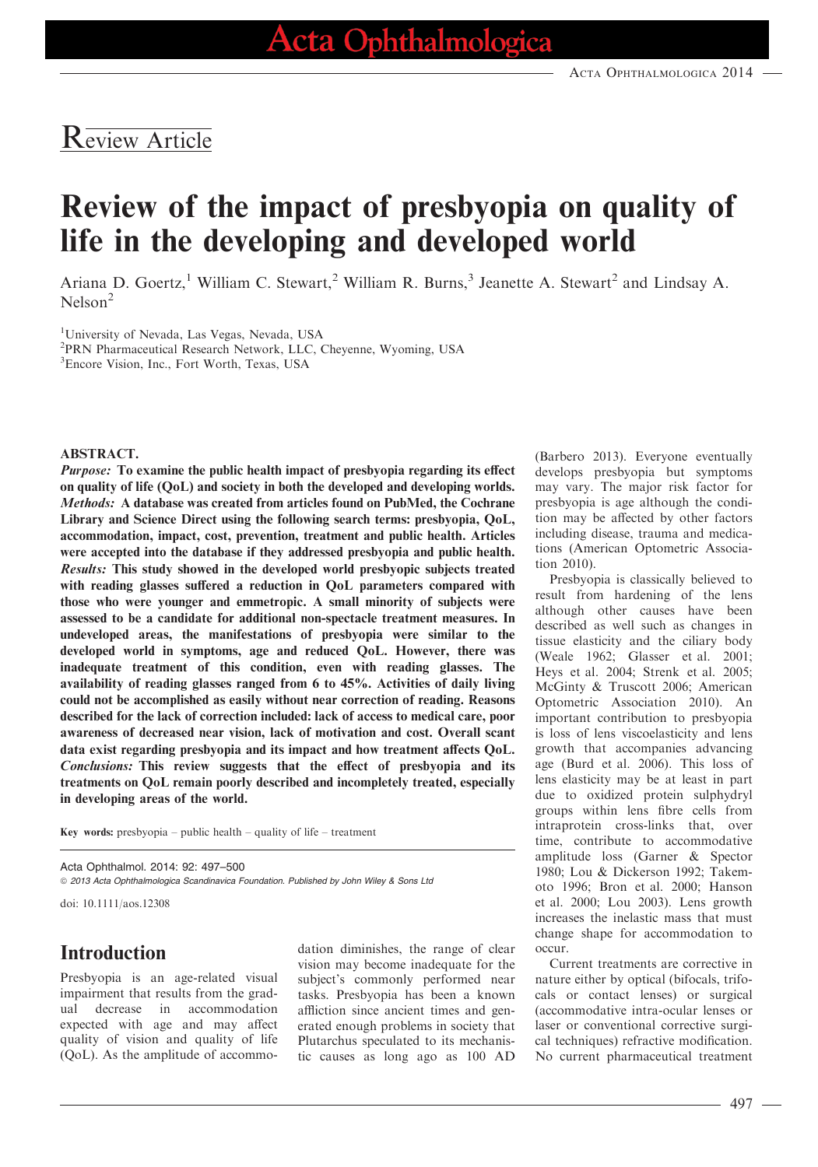## Review Article

# Review of the impact of presbyopia on quality of life in the developing and developed world

Ariana D. Goertz,<sup>1</sup> William C. Stewart,<sup>2</sup> William R. Burns,<sup>3</sup> Jeanette A. Stewart<sup>2</sup> and Lindsay A. Nelson<sup>2</sup>

<sup>1</sup>University of Nevada, Las Vegas, Nevada, USA

2 PRN Pharmaceutical Research Network, LLC, Cheyenne, Wyoming, USA

3 Encore Vision, Inc., Fort Worth, Texas, USA

#### ABSTRACT.

Purpose: To examine the public health impact of presbyopia regarding its effect on quality of life (QoL) and society in both the developed and developing worlds. Methods: A database was created from articles found on PubMed, the Cochrane Library and Science Direct using the following search terms: presbyopia, QoL, accommodation, impact, cost, prevention, treatment and public health. Articles were accepted into the database if they addressed presbyopia and public health. Results: This study showed in the developed world presbyopic subjects treated with reading glasses suffered a reduction in QoL parameters compared with those who were younger and emmetropic. A small minority of subjects were assessed to be a candidate for additional non-spectacle treatment measures. In undeveloped areas, the manifestations of presbyopia were similar to the developed world in symptoms, age and reduced QoL. However, there was inadequate treatment of this condition, even with reading glasses. The availability of reading glasses ranged from 6 to 45%. Activities of daily living could not be accomplished as easily without near correction of reading. Reasons described for the lack of correction included: lack of access to medical care, poor awareness of decreased near vision, lack of motivation and cost. Overall scant data exist regarding presbyopia and its impact and how treatment affects QoL. Conclusions: This review suggests that the effect of presbyopia and its treatments on QoL remain poorly described and incompletely treated, especially in developing areas of the world.

Key words: presbyopia – public health – quality of life – treatment

Acta Ophthalmol. 2014: 92: 497–500 ª 2013 Acta Ophthalmologica Scandinavica Foundation. Published by John Wiley & Sons Ltd

doi: 10.1111/aos.12308

## Introduction

Presbyopia is an age-related visual impairment that results from the gradual decrease in accommodation expected with age and may affect quality of vision and quality of life (QoL). As the amplitude of accommodation diminishes, the range of clear vision may become inadequate for the subject's commonly performed near tasks. Presbyopia has been a known affliction since ancient times and generated enough problems in society that Plutarchus speculated to its mechanistic causes as long ago as 100 AD

(Barbero 2013). Everyone eventually develops presbyopia but symptoms may vary. The major risk factor for presbyopia is age although the condition may be affected by other factors including disease, trauma and medications (American Optometric Association 2010).

Presbyopia is classically believed to result from hardening of the lens although other causes have been described as well such as changes in tissue elasticity and the ciliary body (Weale 1962; Glasser et al. 2001; Heys et al. 2004; Strenk et al. 2005; McGinty & Truscott 2006; American Optometric Association 2010). An important contribution to presbyopia is loss of lens viscoelasticity and lens growth that accompanies advancing age (Burd et al. 2006). This loss of lens elasticity may be at least in part due to oxidized protein sulphydryl groups within lens fibre cells from intraprotein cross-links that, over time, contribute to accommodative amplitude loss (Garner & Spector 1980; Lou & Dickerson 1992; Takemoto 1996; Bron et al. 2000; Hanson et al. 2000; Lou 2003). Lens growth increases the inelastic mass that must change shape for accommodation to occur.

Current treatments are corrective in nature either by optical (bifocals, trifocals or contact lenses) or surgical (accommodative intra-ocular lenses or laser or conventional corrective surgical techniques) refractive modification. No current pharmaceutical treatment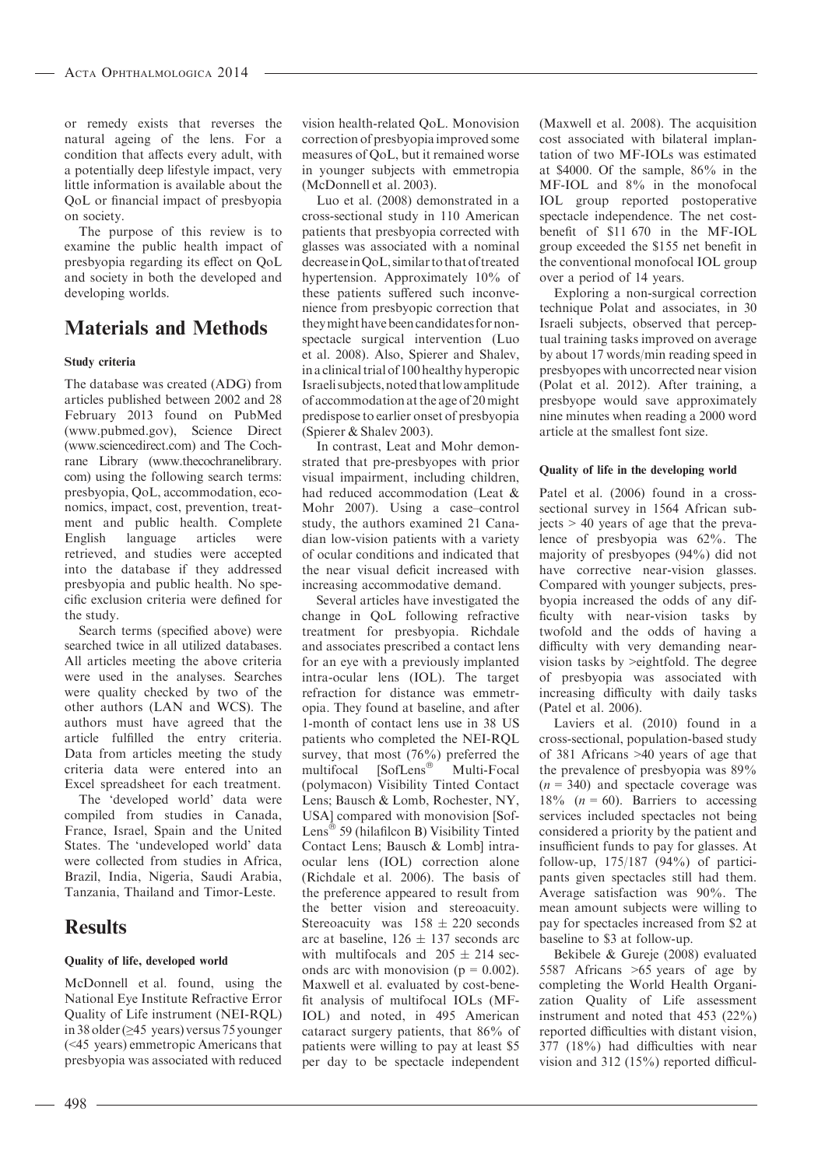or remedy exists that reverses the natural ageing of the lens. For a condition that affects every adult, with a potentially deep lifestyle impact, very little information is available about the QoL or financial impact of presbyopia on society.

The purpose of this review is to examine the public health impact of presbyopia regarding its effect on QoL and society in both the developed and developing worlds.

## Materials and Methods

#### Study criteria

The database was created (ADG) from articles published between 2002 and 28 February 2013 found on PubMed (www.pubmed.gov), Science Direct (www.sciencedirect.com) and The Cochrane Library (www.thecochranelibrary. com) using the following search terms: presbyopia, QoL, accommodation, economics, impact, cost, prevention, treatment and public health. Complete<br>English language articles were language articles were retrieved, and studies were accepted into the database if they addressed presbyopia and public health. No specific exclusion criteria were defined for the study.

Search terms (specified above) were searched twice in all utilized databases. All articles meeting the above criteria were used in the analyses. Searches were quality checked by two of the other authors (LAN and WCS). The authors must have agreed that the article fulfilled the entry criteria. Data from articles meeting the study criteria data were entered into an Excel spreadsheet for each treatment.

The 'developed world' data were compiled from studies in Canada, France, Israel, Spain and the United States. The 'undeveloped world' data were collected from studies in Africa, Brazil, India, Nigeria, Saudi Arabia, Tanzania, Thailand and Timor-Leste.

## **Results**

#### Quality of life, developed world

McDonnell et al. found, using the National Eye Institute Refractive Error Quality of Life instrument (NEI-RQL) in 38 older (≥45 years) versus 75 younger (<45 years) emmetropic Americans that presbyopia was associated with reduced vision health-related QoL. Monovision correction of presbyopia improved some measures of QoL, but it remained worse in younger subjects with emmetropia (McDonnell et al. 2003).

Luo et al. (2008) demonstrated in a cross-sectional study in 110 American patients that presbyopia corrected with glasses was associated with a nominal decreaseinQoL, similar to thatof treated hypertension. Approximately 10% of these patients suffered such inconvenience from presbyopic correction that theymight have been candidates for nonspectacle surgical intervention (Luo et al. 2008). Also, Spierer and Shalev, in a clinical trial of 100 healthy hyperopic Israeli subjects,noted thatlow amplitude of accommodation at the age of 20 might predispose to earlier onset of presbyopia (Spierer & Shalev 2003).

In contrast, Leat and Mohr demonstrated that pre-presbyopes with prior visual impairment, including children, had reduced accommodation (Leat & Mohr 2007). Using a case–control study, the authors examined 21 Canadian low-vision patients with a variety of ocular conditions and indicated that the near visual deficit increased with increasing accommodative demand.

Several articles have investigated the change in QoL following refractive treatment for presbyopia. Richdale and associates prescribed a contact lens for an eye with a previously implanted intra-ocular lens (IOL). The target refraction for distance was emmetropia. They found at baseline, and after 1-month of contact lens use in 38 US patients who completed the NEI-RQL survey, that most (76%) preferred the multifocal [SofLens<sup>®</sup> Multi-Focal (polymacon) Visibility Tinted Contact Lens; Bausch & Lomb, Rochester, NY, USA] compared with monovision [Sof-Lens<sup>®</sup> 59 (hilafilcon B) Visibility Tinted Contact Lens; Bausch & Lomb] intraocular lens (IOL) correction alone (Richdale et al. 2006). The basis of the preference appeared to result from the better vision and stereoacuity. Stereoacuity was  $158 \pm 220$  seconds arc at baseline,  $126 \pm 137$  seconds arc with multifocals and  $205 \pm 214$  seconds arc with monovision ( $p = 0.002$ ). Maxwell et al. evaluated by cost-benefit analysis of multifocal IOLs (MF-IOL) and noted, in 495 American cataract surgery patients, that 86% of patients were willing to pay at least \$5 per day to be spectacle independent

(Maxwell et al. 2008). The acquisition cost associated with bilateral implantation of two MF-IOLs was estimated at \$4000. Of the sample, 86% in the MF-IOL and 8% in the monofocal IOL group reported postoperative spectacle independence. The net costbenefit of \$11 670 in the MF-IOL group exceeded the \$155 net benefit in the conventional monofocal IOL group over a period of 14 years.

Exploring a non-surgical correction technique Polat and associates, in 30 Israeli subjects, observed that perceptual training tasks improved on average by about 17 words/min reading speed in presbyopes with uncorrected near vision (Polat et al. 2012). After training, a presbyope would save approximately nine minutes when reading a 2000 word article at the smallest font size.

#### Quality of life in the developing world

Patel et al. (2006) found in a crosssectional survey in 1564 African subjects > 40 years of age that the prevalence of presbyopia was 62%. The majority of presbyopes (94%) did not have corrective near-vision glasses. Compared with younger subjects, presbyopia increased the odds of any difficulty with near-vision tasks by twofold and the odds of having a difficulty with very demanding nearvision tasks by >eightfold. The degree of presbyopia was associated with increasing difficulty with daily tasks (Patel et al. 2006).

Laviers et al. (2010) found in a cross-sectional, population-based study of 381 Africans >40 years of age that the prevalence of presbyopia was 89%  $(n = 340)$  and spectacle coverage was 18% ( $n = 60$ ). Barriers to accessing services included spectacles not being considered a priority by the patient and insufficient funds to pay for glasses. At follow-up, 175/187 (94%) of participants given spectacles still had them. Average satisfaction was 90%. The mean amount subjects were willing to pay for spectacles increased from \$2 at baseline to \$3 at follow-up.

Bekibele & Gureje (2008) evaluated 5587 Africans >65 years of age by completing the World Health Organization Quality of Life assessment instrument and noted that 453 (22%) reported difficulties with distant vision, 377 (18%) had difficulties with near vision and 312 (15%) reported difficul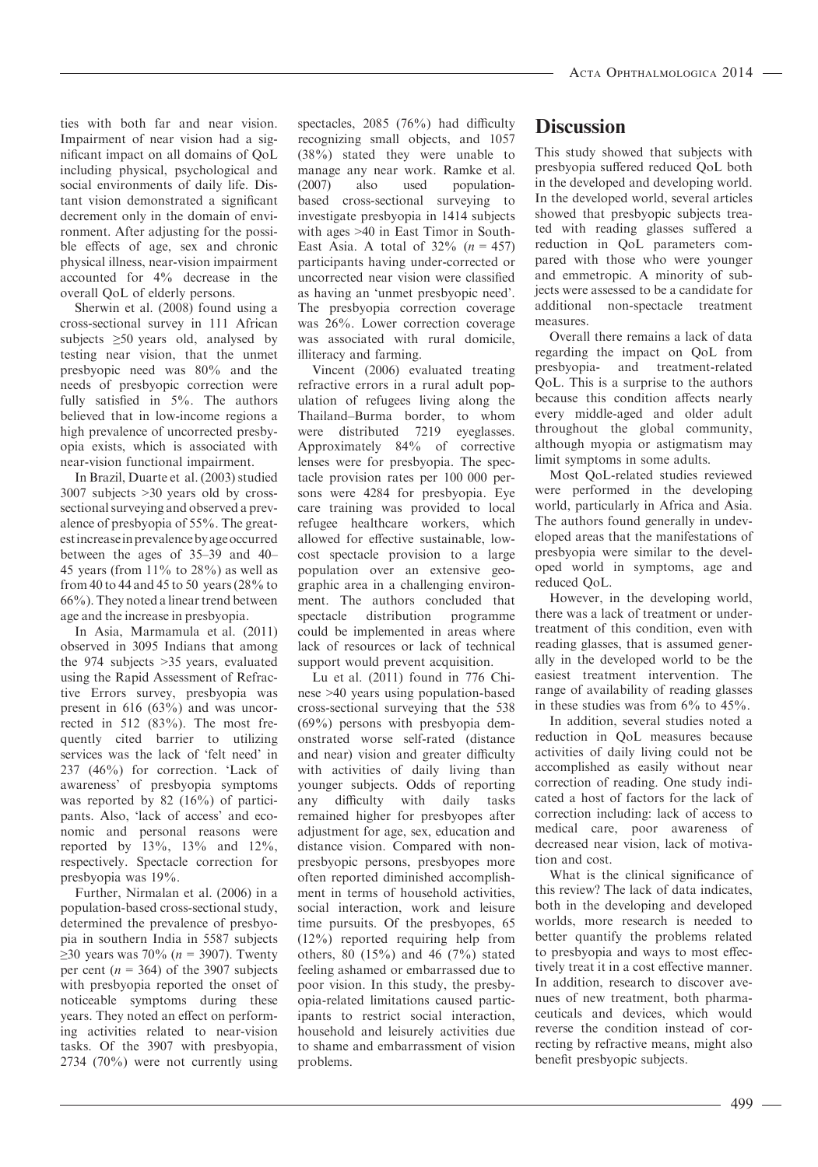ties with both far and near vision. Impairment of near vision had a significant impact on all domains of QoL including physical, psychological and social environments of daily life. Distant vision demonstrated a significant decrement only in the domain of environment. After adjusting for the possible effects of age, sex and chronic physical illness, near-vision impairment accounted for 4% decrease in the overall QoL of elderly persons.

Sherwin et al. (2008) found using a cross-sectional survey in 111 African subjects  $\geq 50$  years old, analysed by testing near vision, that the unmet presbyopic need was 80% and the needs of presbyopic correction were fully satisfied in 5%. The authors believed that in low-income regions a high prevalence of uncorrected presbyopia exists, which is associated with near-vision functional impairment.

In Brazil, Duarte et al. (2003) studied 3007 subjects >30 years old by crosssectional surveying and observed a prevalence of presbyopia of 55%. The greatestincreaseinprevalenceby ageoccurred between the ages of 35–39 and 40– 45 years (from  $11\%$  to  $28\%$ ) as well as from 40 to 44 and 45 to 50 years (28% to 66%). They noted a linear trend between age and the increase in presbyopia.

In Asia, Marmamula et al. (2011) observed in 3095 Indians that among the 974 subjects >35 years, evaluated using the Rapid Assessment of Refractive Errors survey, presbyopia was present in 616 (63%) and was uncorrected in 512 (83%). The most frequently cited barrier to utilizing services was the lack of 'felt need' in 237 (46%) for correction. 'Lack of awareness' of presbyopia symptoms was reported by 82 (16%) of participants. Also, 'lack of access' and economic and personal reasons were reported by 13%, 13% and 12%, respectively. Spectacle correction for presbyopia was 19%.

Further, Nirmalan et al. (2006) in a population-based cross-sectional study, determined the prevalence of presbyopia in southern India in 5587 subjects ≥30 years was 70% (*n* = 3907). Twenty per cent ( $n = 364$ ) of the 3907 subjects with presbyopia reported the onset of noticeable symptoms during these years. They noted an effect on performing activities related to near-vision tasks. Of the 3907 with presbyopia, 2734 (70%) were not currently using

spectacles, 2085 (76%) had difficulty recognizing small objects, and 1057 (38%) stated they were unable to manage any near work. Ramke et al. (2007) also used populationbased cross-sectional surveying to investigate presbyopia in 1414 subjects with ages >40 in East Timor in South-East Asia. A total of  $32\%$  ( $n = 457$ ) participants having under-corrected or uncorrected near vision were classified as having an 'unmet presbyopic need'. The presbyopia correction coverage was 26%. Lower correction coverage was associated with rural domicile, illiteracy and farming.

Vincent (2006) evaluated treating refractive errors in a rural adult population of refugees living along the Thailand–Burma border, to whom were distributed 7219 eveglasses. Approximately 84% of corrective lenses were for presbyopia. The spectacle provision rates per 100 000 persons were 4284 for presbyopia. Eye care training was provided to local refugee healthcare workers, which allowed for effective sustainable, lowcost spectacle provision to a large population over an extensive geographic area in a challenging environment. The authors concluded that spectacle distribution programme could be implemented in areas where lack of resources or lack of technical support would prevent acquisition.

Lu et al. (2011) found in 776 Chinese >40 years using population-based cross-sectional surveying that the 538 (69%) persons with presbyopia demonstrated worse self-rated (distance and near) vision and greater difficulty with activities of daily living than younger subjects. Odds of reporting any difficulty with daily tasks remained higher for presbyopes after adjustment for age, sex, education and distance vision. Compared with nonpresbyopic persons, presbyopes more often reported diminished accomplishment in terms of household activities, social interaction, work and leisure time pursuits. Of the presbyopes, 65 (12%) reported requiring help from others, 80 (15%) and 46 (7%) stated feeling ashamed or embarrassed due to poor vision. In this study, the presbyopia-related limitations caused participants to restrict social interaction, household and leisurely activities due to shame and embarrassment of vision problems.

## **Discussion**

This study showed that subjects with presbyopia suffered reduced QoL both in the developed and developing world. In the developed world, several articles showed that presbyopic subjects treated with reading glasses suffered a reduction in QoL parameters compared with those who were younger and emmetropic. A minority of subjects were assessed to be a candidate for additional non-spectacle treatment measures.

Overall there remains a lack of data regarding the impact on QoL from presbyopia- and treatment-related QoL. This is a surprise to the authors because this condition affects nearly every middle-aged and older adult throughout the global community, although myopia or astigmatism may limit symptoms in some adults.

Most QoL-related studies reviewed were performed in the developing world, particularly in Africa and Asia. The authors found generally in undeveloped areas that the manifestations of presbyopia were similar to the developed world in symptoms, age and reduced QoL.

However, in the developing world, there was a lack of treatment or undertreatment of this condition, even with reading glasses, that is assumed generally in the developed world to be the easiest treatment intervention. The range of availability of reading glasses in these studies was from  $6\%$  to  $45\%$ .

In addition, several studies noted a reduction in QoL measures because activities of daily living could not be accomplished as easily without near correction of reading. One study indicated a host of factors for the lack of correction including: lack of access to medical care, poor awareness of decreased near vision, lack of motivation and cost.

What is the clinical significance of this review? The lack of data indicates, both in the developing and developed worlds, more research is needed to better quantify the problems related to presbyopia and ways to most effectively treat it in a cost effective manner. In addition, research to discover avenues of new treatment, both pharmaceuticals and devices, which would reverse the condition instead of correcting by refractive means, might also benefit presbyopic subjects.